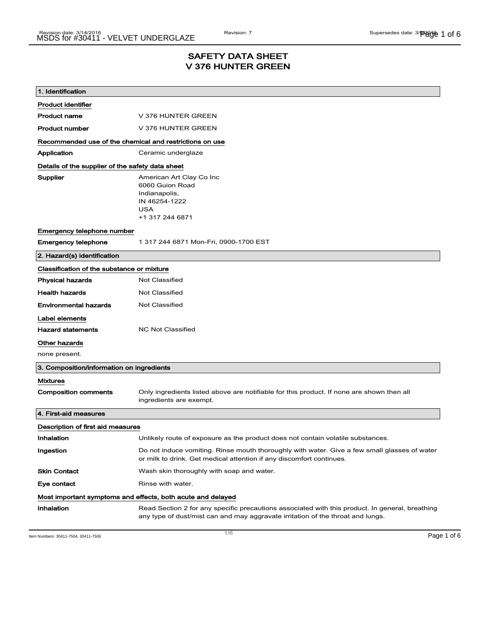## SAFETY DATA SHEET V 376 HUNTER GREEN

| 1. Identification                                           |                                                                                                                                                                                    |  |
|-------------------------------------------------------------|------------------------------------------------------------------------------------------------------------------------------------------------------------------------------------|--|
| <b>Product identifier</b>                                   |                                                                                                                                                                                    |  |
| <b>Product name</b>                                         | V 376 HUNTER GREEN                                                                                                                                                                 |  |
| <b>Product number</b>                                       | V 376 HUNTER GREEN                                                                                                                                                                 |  |
| Recommended use of the chemical and restrictions on use     |                                                                                                                                                                                    |  |
| Application                                                 | Ceramic underglaze                                                                                                                                                                 |  |
| Details of the supplier of the safety data sheet            |                                                                                                                                                                                    |  |
| Supplier                                                    | American Art Clay Co Inc<br>6060 Guion Road<br>Indianapolis,<br>IN 46254-1222<br><b>USA</b><br>+1 317 244 6871                                                                     |  |
| Emergency telephone number                                  |                                                                                                                                                                                    |  |
| <b>Emergency telephone</b>                                  | 1 317 244 6871 Mon-Fri, 0900-1700 EST                                                                                                                                              |  |
| 2. Hazard(s) identification                                 |                                                                                                                                                                                    |  |
| Classification of the substance or mixture                  |                                                                                                                                                                                    |  |
| <b>Physical hazards</b>                                     | <b>Not Classified</b>                                                                                                                                                              |  |
| <b>Health hazards</b>                                       | <b>Not Classified</b>                                                                                                                                                              |  |
| Environmental hazards                                       | <b>Not Classified</b>                                                                                                                                                              |  |
| Label elements                                              |                                                                                                                                                                                    |  |
| <b>Hazard statements</b>                                    | <b>NC Not Classified</b>                                                                                                                                                           |  |
| Other hazards                                               |                                                                                                                                                                                    |  |
| none present.                                               |                                                                                                                                                                                    |  |
| 3. Composition/information on ingredients                   |                                                                                                                                                                                    |  |
| <b>Mixtures</b>                                             |                                                                                                                                                                                    |  |
| <b>Composition comments</b>                                 | Only ingredients listed above are notifiable for this product. If none are shown then all<br>ingredients are exempt.                                                               |  |
| 4. First-aid measures                                       |                                                                                                                                                                                    |  |
| Description of first aid measures                           |                                                                                                                                                                                    |  |
| Inhalation                                                  | Unlikely route of exposure as the product does not contain volatile substances.                                                                                                    |  |
| Ingestion                                                   | Do not induce vomiting. Rinse mouth thoroughly with water. Give a few small glasses of water<br>or milk to drink. Get medical attention if any discomfort continues.               |  |
| <b>Skin Contact</b>                                         | Wash skin thoroughly with soap and water.                                                                                                                                          |  |
| Eye contact                                                 | Rinse with water.                                                                                                                                                                  |  |
| Most important symptoms and effects, both acute and delayed |                                                                                                                                                                                    |  |
| Inhalation                                                  | Read Section 2 for any specific precautions associated with this product. In general, breathing<br>any type of dust/mist can and may aggravate irritation of the throat and lungs. |  |

Item Numbers: 30411-7504, 30411-7506 Page 1 of 6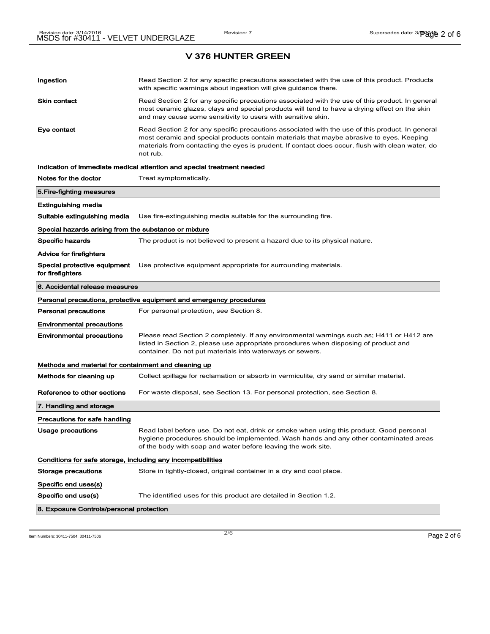| Ingestion                                                    | Read Section 2 for any specific precautions associated with the use of this product. Products<br>with specific warnings about ingestion will give guidance there.                                                                                                                                           |
|--------------------------------------------------------------|-------------------------------------------------------------------------------------------------------------------------------------------------------------------------------------------------------------------------------------------------------------------------------------------------------------|
| <b>Skin contact</b>                                          | Read Section 2 for any specific precautions associated with the use of this product. In general<br>most ceramic glazes, clays and special products will tend to have a drying effect on the skin<br>and may cause some sensitivity to users with sensitive skin.                                            |
| Eye contact                                                  | Read Section 2 for any specific precautions associated with the use of this product. In general<br>most ceramic and special products contain materials that maybe abrasive to eyes. Keeping<br>materials from contacting the eyes is prudent. If contact does occur, flush with clean water, do<br>not rub. |
|                                                              | Indication of immediate medical attention and special treatment needed                                                                                                                                                                                                                                      |
| Notes for the doctor                                         | Treat symptomatically.                                                                                                                                                                                                                                                                                      |
| 5. Fire-fighting measures                                    |                                                                                                                                                                                                                                                                                                             |
| <b>Extinguishing media</b>                                   |                                                                                                                                                                                                                                                                                                             |
| Suitable extinguishing media                                 | Use fire-extinguishing media suitable for the surrounding fire.                                                                                                                                                                                                                                             |
| Special hazards arising from the substance or mixture        |                                                                                                                                                                                                                                                                                                             |
| <b>Specific hazards</b>                                      | The product is not believed to present a hazard due to its physical nature.                                                                                                                                                                                                                                 |
| Advice for firefighters                                      |                                                                                                                                                                                                                                                                                                             |
| Special protective equipment<br>for firefighters             | Use protective equipment appropriate for surrounding materials.                                                                                                                                                                                                                                             |
| 6. Accidental release measures                               |                                                                                                                                                                                                                                                                                                             |
|                                                              | Personal precautions, protective equipment and emergency procedures                                                                                                                                                                                                                                         |
| <b>Personal precautions</b>                                  | For personal protection, see Section 8.                                                                                                                                                                                                                                                                     |
| <b>Environmental precautions</b>                             |                                                                                                                                                                                                                                                                                                             |
| <b>Environmental precautions</b>                             | Please read Section 2 completely. If any environmental warnings such as; H411 or H412 are<br>listed in Section 2, please use appropriate procedures when disposing of product and<br>container. Do not put materials into waterways or sewers.                                                              |
| Methods and material for containment and cleaning up         |                                                                                                                                                                                                                                                                                                             |
| Methods for cleaning up                                      | Collect spillage for reclamation or absorb in vermiculite, dry sand or similar material.                                                                                                                                                                                                                    |
| Reference to other sections                                  | For waste disposal, see Section 13. For personal protection, see Section 8.                                                                                                                                                                                                                                 |
| 7. Handling and storage                                      |                                                                                                                                                                                                                                                                                                             |
| Precautions for safe handling                                |                                                                                                                                                                                                                                                                                                             |
| Usage precautions                                            | Read label before use. Do not eat, drınk or smoke wnen usıng tnıs product. Good personaı<br>hygiene procedures should be implemented. Wash hands and any other contaminated areas<br>of the body with soap and water before leaving the work site.                                                          |
| Conditions for safe storage, including any incompatibilities |                                                                                                                                                                                                                                                                                                             |
| <b>Storage precautions</b>                                   | Store in tightly-closed, original container in a dry and cool place.                                                                                                                                                                                                                                        |
| Specific end uses(s)                                         |                                                                                                                                                                                                                                                                                                             |
|                                                              |                                                                                                                                                                                                                                                                                                             |
| Specific end use(s)                                          | The identified uses for this product are detailed in Section 1.2.                                                                                                                                                                                                                                           |

Item Numbers: 30411-7504, 30411-7506  $P$ age 2 of 6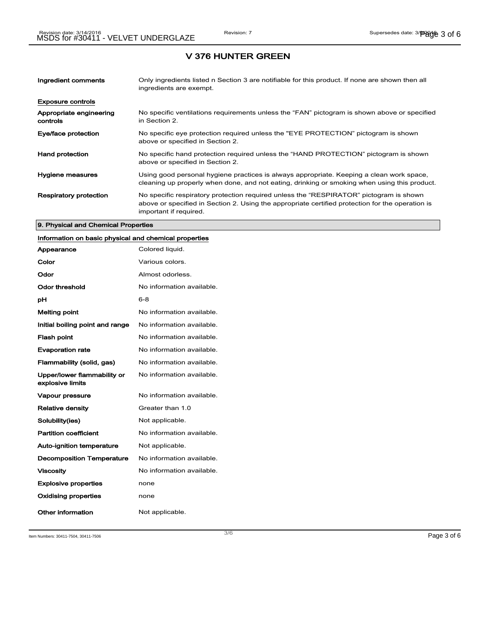| Ingredient comments                 | Only ingredients listed n Section 3 are notifiable for this product. If none are shown then all<br>ingredients are exempt.                                                                                           |
|-------------------------------------|----------------------------------------------------------------------------------------------------------------------------------------------------------------------------------------------------------------------|
| <b>Exposure controls</b>            |                                                                                                                                                                                                                      |
| Appropriate engineering<br>controls | No specific ventilations requirements unless the "FAN" pictogram is shown above or specified<br>in Section 2.                                                                                                        |
| Eye/face protection                 | No specific eye protection required unless the "EYE PROTECTION" pictogram is shown<br>above or specified in Section 2.                                                                                               |
| <b>Hand protection</b>              | No specific hand protection required unless the "HAND PROTECTION" pictogram is shown<br>above or specified in Section 2.                                                                                             |
| Hygiene measures                    | Using good personal hygiene practices is always appropriate. Keeping a clean work space,<br>cleaning up properly when done, and not eating, drinking or smoking when using this product.                             |
| <b>Respiratory protection</b>       | No specific respiratory protection required unless the "RESPIRATOR" pictogram is shown<br>above or specified in Section 2. Using the appropriate certified protection for the operation is<br>important if required. |

#### 9. Physical and Chemical Properties

## Information on basic physical and chemical properties

| Appearance                                      | Colored liquid.           |
|-------------------------------------------------|---------------------------|
| Color                                           | Various colors.           |
| Odor                                            | Almost odorless.          |
| Odor threshold                                  | No information available. |
| рH                                              | $6 - 8$                   |
| Melting point                                   | No information available. |
| Initial boiling point and range                 | No information available. |
| <b>Flash point</b>                              | No information available. |
| <b>Evaporation rate</b>                         | No information available. |
| Flammability (solid, gas)                       | No information available. |
| Upper/lower flammability or<br>explosive limits | No information available. |
| Vapour pressure                                 | No information available. |
| <b>Relative density</b>                         | Greater than 1.0          |
| Solubility(ies)                                 | Not applicable.           |
| <b>Partition coefficient</b>                    | No information available. |
| <b>Auto-ignition temperature</b>                | Not applicable.           |
| <b>Decomposition Temperature</b>                | No information available. |
| <b>Viscosity</b>                                | No information available  |
| <b>Explosive properties</b>                     | none                      |
| Oxidising properties                            | none                      |
| Other information                               | Not applicable.           |

Item Numbers: 30411-7504, 30411-7506 Page 3 of 6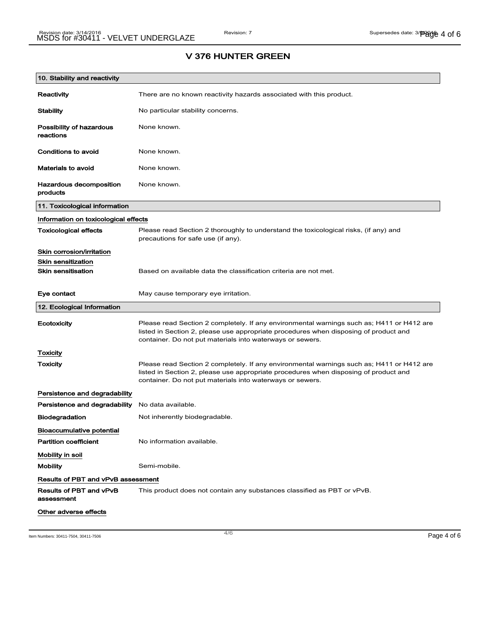# 10. Stability and reactivity Reactivity There are no known reactivity hazards associated with this product. Stability Mo particular stability concerns. Possibility of hazardous reactions None known. Conditions to avoid None known. Materials to avoid None known. Hazardous decomposition products None known. 11. Toxicological information Information on toxicological effects Toxicological effects Please read Section 2 thoroughly to understand the toxicological risks, (if any) and precautions for safe use (if any). Skin corrosion/irritation Skin sensitization **Skin sensitisation** Based on available data the classification criteria are not met. Eye contact May cause temporary eye irritation. 12. Ecological Information Ecotoxicity Please read Section 2 completely. If any environmental warnings such as; H411 or H412 are listed in Section 2, please use appropriate procedures when disposing of product and container. Do not put materials into waterways or sewers. **Toxicity** Toxicity **Please read Section 2 completely. If any environmental warnings such as; H411 or H412 are** listed in Section 2, please use appropriate procedures when disposing of product and container. Do not put materials into waterways or sewers. Persistence and degradability Persistence and degradability No data available. Biodegradation Not inherently biodegradable. Bioaccumulative potential Partition coefficient No information available. Mobility in soil Mobility **Semi-mobile.** Results of PBT and vPvB assessment Results of PBT and vPvB assessment This product does not contain any substances classified as PBT or vPvB. Other adverse effects

# V 376 HUNTER GREEN

Item Numbers: 30411-7504, 30411-7506 Page 4 of 6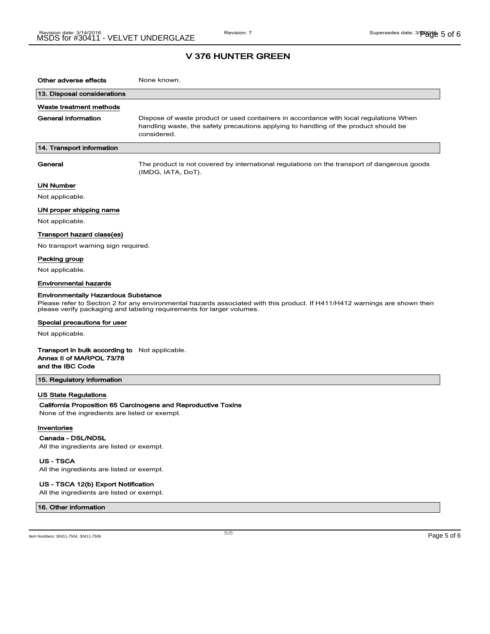| Other adverse effects                                                                                            | None known.                                                                                                                                                                                         |
|------------------------------------------------------------------------------------------------------------------|-----------------------------------------------------------------------------------------------------------------------------------------------------------------------------------------------------|
| 13. Disposal considerations                                                                                      |                                                                                                                                                                                                     |
| Waste treatment methods                                                                                          |                                                                                                                                                                                                     |
| <b>General information</b>                                                                                       | Dispose of waste product or used containers in accordance with local regulations When<br>handling waste, the safety precautions applying to handling of the product should be<br>considered.        |
| 14. Transport information                                                                                        |                                                                                                                                                                                                     |
| General                                                                                                          | The product is not covered by international regulations on the transport of dangerous goods<br>(IMDG, IATA, DoT).                                                                                   |
| <b>UN Number</b>                                                                                                 |                                                                                                                                                                                                     |
| Not applicable.                                                                                                  |                                                                                                                                                                                                     |
| UN proper shipping name                                                                                          |                                                                                                                                                                                                     |
| Not applicable.                                                                                                  |                                                                                                                                                                                                     |
| Transport hazard class(es)                                                                                       |                                                                                                                                                                                                     |
| No transport warning sign required.                                                                              |                                                                                                                                                                                                     |
| Packing group                                                                                                    |                                                                                                                                                                                                     |
| Not applicable.                                                                                                  |                                                                                                                                                                                                     |
| Environmental hazards                                                                                            |                                                                                                                                                                                                     |
| <b>Environmentally Hazardous Substance</b>                                                                       | Please refer to Section 2 for any environmental hazards associated with this product. If H411/H412 warnings are shown then<br>please verify packaging and labeling requirements for larger volumes. |
| Special precautions for user                                                                                     |                                                                                                                                                                                                     |
| Not applicable.                                                                                                  |                                                                                                                                                                                                     |
| <b>Transport in bulk according to</b> Not applicable.<br>Annex II of MARPOL 73/78<br>and the IBC Code            |                                                                                                                                                                                                     |
| 15. Regulatory information                                                                                       |                                                                                                                                                                                                     |
| <b>US State Regulations</b><br>None of the ingredients are listed or exempt.<br>Inventories<br>Canada - DSL/NDSL | California Proposition 65 Carcinogens and Reproductive Toxins                                                                                                                                       |
| All the ingredients are listed or exempt.                                                                        |                                                                                                                                                                                                     |

US - TSCA

All the ingredients are listed or exempt.

#### US - TSCA 12(b) Export Notification

All the ingredients are listed or exempt.

### 16. Other information